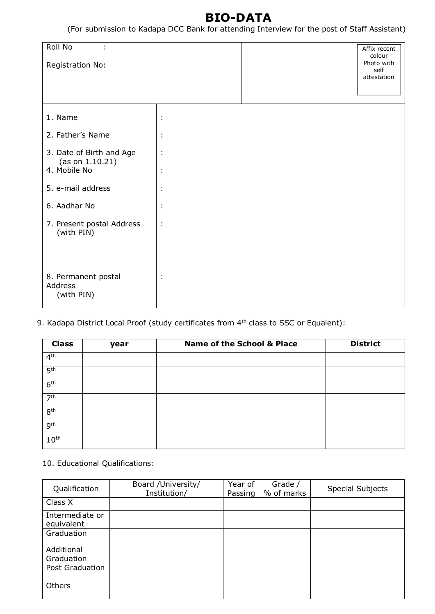# **BIO-DATA**

(For submission to Kadapa DCC Bank for attending Interview for the post of Staff Assistant)

| Roll No<br>t                                 |                      | Affix recent<br>colour |
|----------------------------------------------|----------------------|------------------------|
| Registration No:                             |                      | Photo with<br>self     |
|                                              |                      | attestation            |
|                                              |                      |                        |
| 1. Name                                      | t                    |                        |
| 2. Father's Name                             | ÷                    |                        |
| 3. Date of Birth and Age<br>(as on 1.10.21)  | t                    |                        |
| 4. Mobile No                                 | ٠<br>$\bullet$       |                        |
| 5. e-mail address                            | ÷                    |                        |
| 6. Aadhar No                                 | t                    |                        |
| 7. Present postal Address<br>(with PIN)      | $\ddot{\phantom{a}}$ |                        |
|                                              |                      |                        |
| 8. Permanent postal<br>Address<br>(with PIN) | ÷                    |                        |

9. Kadapa District Local Proof (study certificates from 4<sup>th</sup> class to SSC or Equalent):

| <b>Class</b>     | year | <b>Name of the School &amp; Place</b> | <b>District</b> |
|------------------|------|---------------------------------------|-----------------|
| 4 <sup>th</sup>  |      |                                       |                 |
| 5 <sup>th</sup>  |      |                                       |                 |
| 6 <sup>th</sup>  |      |                                       |                 |
| 7 <sup>th</sup>  |      |                                       |                 |
| 8 <sup>th</sup>  |      |                                       |                 |
| 9 <sup>th</sup>  |      |                                       |                 |
| 10 <sup>th</sup> |      |                                       |                 |

10. Educational Qualifications:

| Qualification                 | Board /University/<br>Institution/ | Year of<br>Passing | Grade /<br>% of marks | Special Subjects |
|-------------------------------|------------------------------------|--------------------|-----------------------|------------------|
| Class X                       |                                    |                    |                       |                  |
| Intermediate or<br>equivalent |                                    |                    |                       |                  |
| Graduation                    |                                    |                    |                       |                  |
| Additional<br>Graduation      |                                    |                    |                       |                  |
| Post Graduation               |                                    |                    |                       |                  |
| <b>Others</b>                 |                                    |                    |                       |                  |